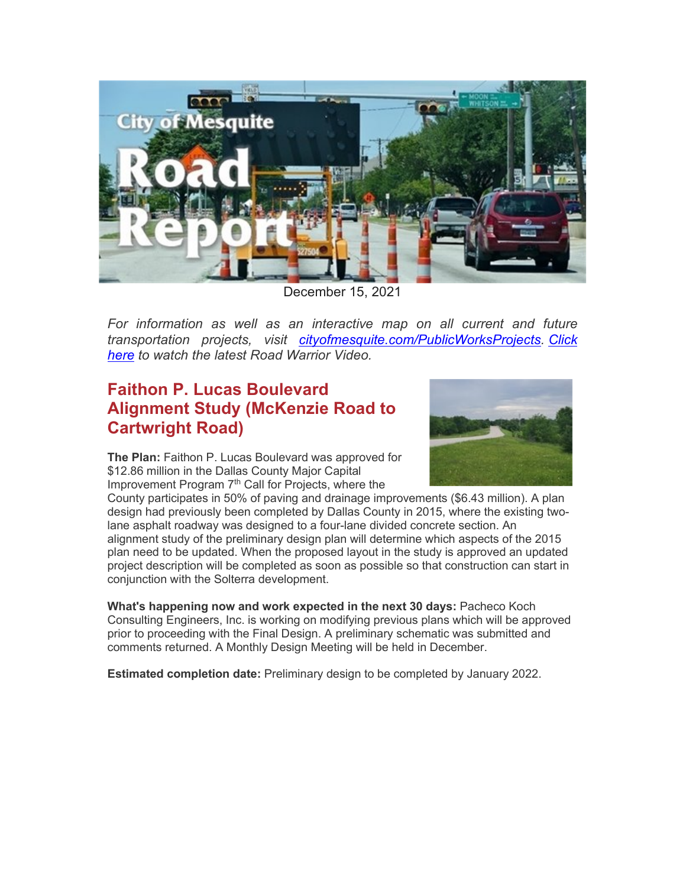

December 15, 2021

*For information as well as an interactive map on all current and future transportation projects, visit [cityofmesquite.com/PublicWorksProjects.](https://www.cityofmesquite.com/2001/City-Construction-Projects) [Click](https://gcc02.safelinks.protection.outlook.com/?url=https%3A%2F%2Fwww.youtube.com%2Fwatch%3Fv%3Di4rfuLr1lCY&data=04%7C01%7Cjbenavides%40cityofmesquite.com%7Ce90255293eef4180ff0b08d9bf33a950%7C569b24ee3c1843c889d404993c7c22b6%7C1%7C1%7C637751050877079179%7CUnknown%7CTWFpbGZsb3d8eyJWIjoiMC4wLjAwMDAiLCJQIjoiV2luMzIiLCJBTiI6Ik1haWwiLCJXVCI6Mn0%3D%7C3000&sdata=C9FlxcNlbd17RfkZC6mMAvpVgY3lll%2BhKrszWgyW7p4%3D&reserved=0)  [here](https://gcc02.safelinks.protection.outlook.com/?url=https%3A%2F%2Fwww.youtube.com%2Fwatch%3Fv%3Di4rfuLr1lCY&data=04%7C01%7Cjbenavides%40cityofmesquite.com%7Ce90255293eef4180ff0b08d9bf33a950%7C569b24ee3c1843c889d404993c7c22b6%7C1%7C1%7C637751050877079179%7CUnknown%7CTWFpbGZsb3d8eyJWIjoiMC4wLjAwMDAiLCJQIjoiV2luMzIiLCJBTiI6Ik1haWwiLCJXVCI6Mn0%3D%7C3000&sdata=C9FlxcNlbd17RfkZC6mMAvpVgY3lll%2BhKrszWgyW7p4%3D&reserved=0) to watch the latest Road Warrior Video.*

# **Faithon P. Lucas Boulevard Alignment Study (McKenzie Road to Cartwright Road)**



**The Plan:** Faithon P. Lucas Boulevard was approved for \$12.86 million in the Dallas County Major Capital Improvement Program  $7<sup>th</sup>$  Call for Projects, where the

County participates in 50% of paving and drainage improvements (\$6.43 million). A plan design had previously been completed by Dallas County in 2015, where the existing twolane asphalt roadway was designed to a four-lane divided concrete section. An alignment study of the preliminary design plan will determine which aspects of the 2015 plan need to be updated. When the proposed layout in the study is approved an updated project description will be completed as soon as possible so that construction can start in conjunction with the Solterra development.

**What's happening now and work expected in the next 30 days:** Pacheco Koch Consulting Engineers, Inc. is working on modifying previous plans which will be approved prior to proceeding with the Final Design. A preliminary schematic was submitted and comments returned. A Monthly Design Meeting will be held in December.

**Estimated completion date:** Preliminary design to be completed by January 2022.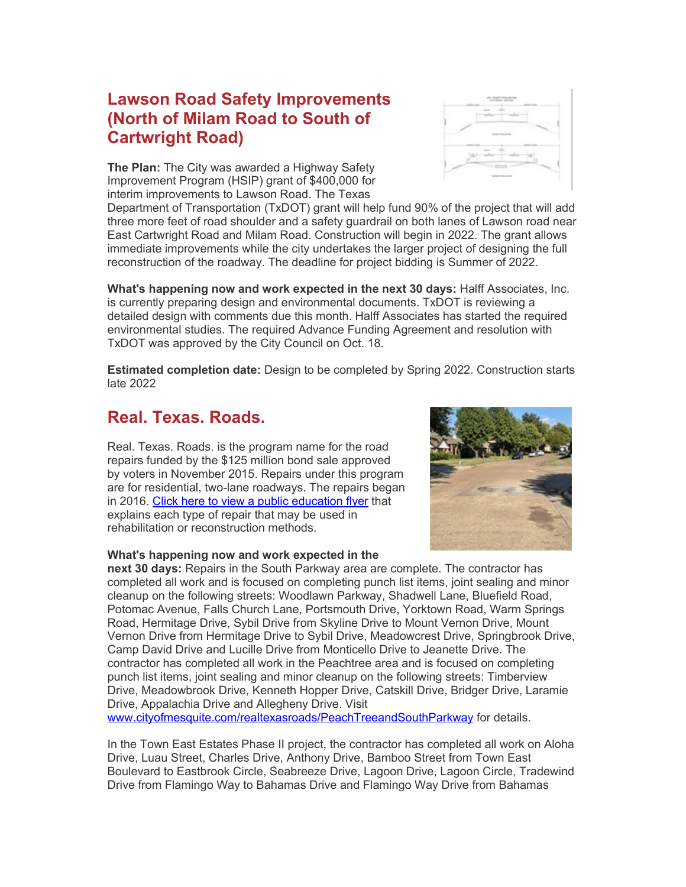### **Lawson Road Safety Improvements (North of Milam Road to South of Cartwright Road)**

**The Plan:** The City was awarded a Highway Safety Improvement Program (HSIP) grant of \$400,000 for interim improvements to Lawson Road. The Texas

Department of Transportation (TxDOT) grant will help fund 90% of the project that will add three more feet of road shoulder and a safety guardrail on both lanes of Lawson road near East Cartwright Road and Milam Road. Construction will begin in 2022. The grant allows immediate improvements while the city undertakes the larger project of designing the full reconstruction of the roadway. The deadline for project bidding is Summer of 2022.

**What's happening now and work expected in the next 30 days:** Halff Associates, Inc. is currently preparing design and environmental documents. TxDOT is reviewing a detailed design with comments due this month. Halff Associates has started the required environmental studies. The required Advance Funding Agreement and resolution with TxDOT was approved by the City Council on Oct. 18.

**Estimated completion date:** Design to be completed by Spring 2022. Construction starts late 2022

### **Real. Texas. Roads.**

Real. Texas. Roads. is the program name for the road repairs funded by the \$125 million bond sale approved by voters in November 2015. Repairs under this program are for residential, two-lane roadways. The repairs began in 2016. [Click here to view a public education flyer](https://www.cityofmesquite.com/DocumentCenter/View/17284) that explains each type of repair that may be used in rehabilitation or reconstruction methods.

#### **What's happening now and work expected in the**

**next 30 days:** Repairs in the South Parkway area are complete. The contractor has completed all work and is focused on completing punch list items, joint sealing and minor cleanup on the following streets: Woodlawn Parkway, Shadwell Lane, Bluefield Road, Potomac Avenue, Falls Church Lane, Portsmouth Drive, Yorktown Road, Warm Springs Road, Hermitage Drive, Sybil Drive from Skyline Drive to Mount Vernon Drive, Mount Vernon Drive from Hermitage Drive to Sybil Drive, Meadowcrest Drive, Springbrook Drive, Camp David Drive and Lucille Drive from Monticello Drive to Jeanette Drive. The contractor has completed all work in the Peachtree area and is focused on completing punch list items, joint sealing and minor cleanup on the following streets: Timberview Drive, Meadowbrook Drive, Kenneth Hopper Drive, Catskill Drive, Bridger Drive, Laramie Drive, Appalachia Drive and Allegheny Drive. Visit

[www.cityofmesquite.com/realtexasroads/PeachTreeandSouthParkway](http://www.cityofmesquite.com/realtexasroads/PeachTreeandSouthParkway) for details.

In the Town East Estates Phase II project, the contractor has completed all work on Aloha Drive, Luau Street, Charles Drive, Anthony Drive, Bamboo Street from Town East Boulevard to Eastbrook Circle, Seabreeze Drive, Lagoon Drive, Lagoon Circle, Tradewind Drive from Flamingo Way to Bahamas Drive and Flamingo Way Drive from Bahamas



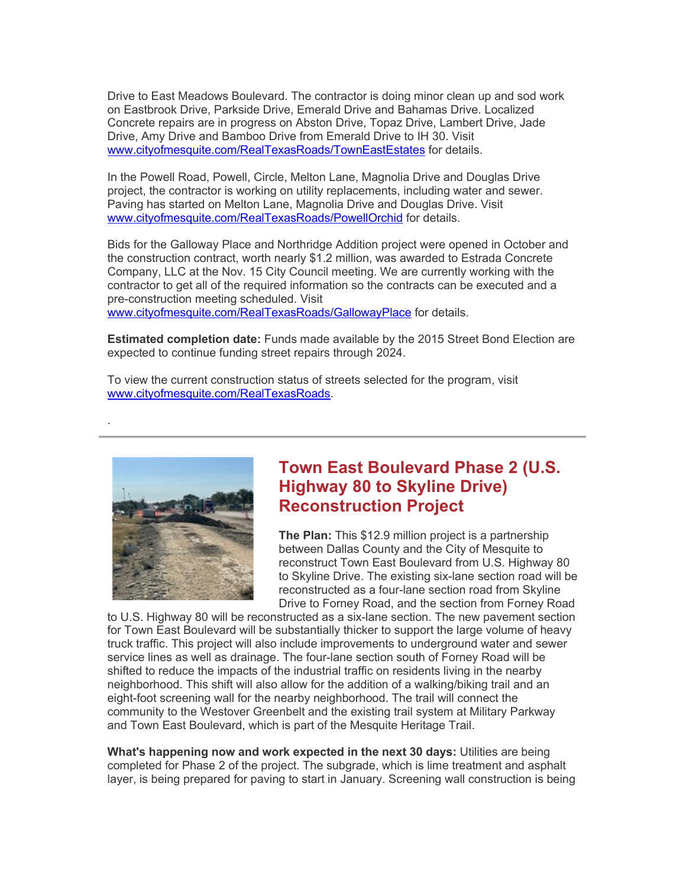Drive to East Meadows Boulevard. The contractor is doing minor clean up and sod work on Eastbrook Drive, Parkside Drive, Emerald Drive and Bahamas Drive. Localized Concrete repairs are in progress on Abston Drive, Topaz Drive, Lambert Drive, Jade Drive, Amy Drive and Bamboo Drive from Emerald Drive to IH 30. Visit [www.cityofmesquite.com/RealTexasRoads/TownEastEstates](http://www.cityofmesquite.com/RealTexasRoads/TownEastEstates) for details.

In the Powell Road, Powell, Circle, Melton Lane, Magnolia Drive and Douglas Drive project, the contractor is working on utility replacements, including water and sewer. Paving has started on Melton Lane, Magnolia Drive and Douglas Drive. Visit [www.cityofmesquite.com/RealTexasRoads/PowellOrchid](http://www.cityofmesquite.com/RealTexasRoads/PowellOrchid) for details.

Bids for the Galloway Place and Northridge Addition project were opened in October and the construction contract, worth nearly \$1.2 million, was awarded to Estrada Concrete Company, LLC at the Nov. 15 City Council meeting. We are currently working with the contractor to get all of the required information so the contracts can be executed and a pre-construction meeting scheduled. Visit

[www.cityofmesquite.com/RealTexasRoads/GallowayPlace](http://www.cityofmesquite.com/RealTexasRoads/GallowayPlace) for details.

**Estimated completion date:** Funds made available by the 2015 Street Bond Election are expected to continue funding street repairs through 2024.

To view the current construction status of streets selected for the program, visit [www.cityofmesquite.com/RealTexasRoads.](http://www.cityofmesquite.com/RealTexasRoads)



.

### **Town East Boulevard Phase 2 (U.S. Highway 80 to Skyline Drive) Reconstruction Project**

**The Plan:** This \$12.9 million project is a partnership between Dallas County and the City of Mesquite to reconstruct Town East Boulevard from U.S. Highway 80 to Skyline Drive. The existing six-lane section road will be reconstructed as a four-lane section road from Skyline Drive to Forney Road, and the section from Forney Road

to U.S. Highway 80 will be reconstructed as a six-lane section. The new pavement section for Town East Boulevard will be substantially thicker to support the large volume of heavy truck traffic. This project will also include improvements to underground water and sewer service lines as well as drainage. The four-lane section south of Forney Road will be shifted to reduce the impacts of the industrial traffic on residents living in the nearby neighborhood. This shift will also allow for the addition of a walking/biking trail and an eight-foot screening wall for the nearby neighborhood. The trail will connect the community to the Westover Greenbelt and the existing trail system at Military Parkway and Town East Boulevard, which is part of the Mesquite Heritage Trail.

**What's happening now and work expected in the next 30 days:** Utilities are being completed for Phase 2 of the project. The subgrade, which is lime treatment and asphalt layer, is being prepared for paving to start in January. Screening wall construction is being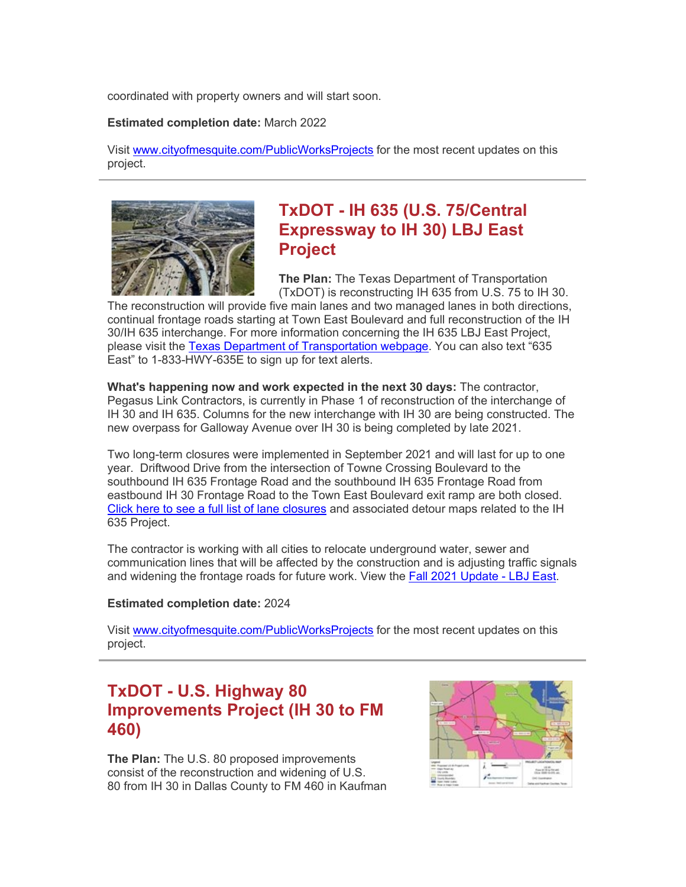coordinated with property owners and will start soon.

#### **Estimated completion date:** March 2022

Visit [www.cityofmesquite.com/PublicWorksProjects](http://www.cityofmesquite.com/PublicWorksProjects) for the most recent updates on this project.



### **TxDOT - IH 635 (U.S. 75/Central Expressway to IH 30) LBJ East Project**

**The Plan:** The Texas Department of Transportation (TxDOT) is reconstructing IH 635 from U.S. 75 to IH 30.

The reconstruction will provide five main lanes and two managed lanes in both directions, continual frontage roads starting at Town East Boulevard and full reconstruction of the IH 30/IH 635 interchange. For more information concerning the IH 635 LBJ East Project, please visit the [Texas Department of Transportation](https://gcc02.safelinks.protection.outlook.com/?url=https%3A%2F%2F635east.com%2F&data=04%7C01%7Cjbenavides%40cityofmesquite.com%7Ce90255293eef4180ff0b08d9bf33a950%7C569b24ee3c1843c889d404993c7c22b6%7C1%7C1%7C637751050877079179%7CUnknown%7CTWFpbGZsb3d8eyJWIjoiMC4wLjAwMDAiLCJQIjoiV2luMzIiLCJBTiI6Ik1haWwiLCJXVCI6Mn0%3D%7C3000&sdata=f9s2dIYo8jP7TD3mbge3CjmtbUuQb%2FMo8QyY45lZEh8%3D&reserved=0) webpage. You can also text "635 East" to 1-833-HWY-635E to sign up for text alerts.

**What's happening now and work expected in the next 30 days:** The contractor, Pegasus Link Contractors, is currently in Phase 1 of reconstruction of the interchange of IH 30 and IH 635. Columns for the new interchange with IH 30 are being constructed. The new overpass for Galloway Avenue over IH 30 is being completed by late 2021.

Two long-term closures were implemented in September 2021 and will last for up to one year. Driftwood Drive from the intersection of Towne Crossing Boulevard to the southbound IH 635 Frontage Road and the southbound IH 635 Frontage Road from eastbound IH 30 Frontage Road to the Town East Boulevard exit ramp are both closed. [Click here to see a full list of lane closures](https://gcc02.safelinks.protection.outlook.com/?url=https%3A%2F%2F635east.com%2Fbe-in-the-know%2Fclosures-traffic-pattern-changes%2F&data=04%7C01%7Cjbenavides%40cityofmesquite.com%7Ce90255293eef4180ff0b08d9bf33a950%7C569b24ee3c1843c889d404993c7c22b6%7C1%7C1%7C637751050877079179%7CUnknown%7CTWFpbGZsb3d8eyJWIjoiMC4wLjAwMDAiLCJQIjoiV2luMzIiLCJBTiI6Ik1haWwiLCJXVCI6Mn0%3D%7C3000&sdata=kyqX4qFn4O723OYeRhPMU%2F54vF6%2Fu6qT5BxY2oibBwM%3D&reserved=0) and associated detour maps related to the IH 635 Project.

The contractor is working with all cities to relocate underground water, sewer and communication lines that will be affected by the construction and is adjusting traffic signals and widening the frontage roads for future work. View the [Fall 2021 Update -](https://gcc02.safelinks.protection.outlook.com/?url=https%3A%2F%2F635east.com%2Fwp-content%2Fuploads%2F2021%2F09%2F1126_091421_635-East_Project-Tracker_FALL-Q4-2021.pdf&data=04%7C01%7Cjbenavides%40cityofmesquite.com%7Ce90255293eef4180ff0b08d9bf33a950%7C569b24ee3c1843c889d404993c7c22b6%7C1%7C1%7C637751050877079179%7CUnknown%7CTWFpbGZsb3d8eyJWIjoiMC4wLjAwMDAiLCJQIjoiV2luMzIiLCJBTiI6Ik1haWwiLCJXVCI6Mn0%3D%7C3000&sdata=TYUcgoayx0gwts5C47NWhKm4t%2FHErhT2gF5de4d9jG8%3D&reserved=0) LBJ East.

#### **Estimated completion date:** 2024

Visit [www.cityofmesquite.com/PublicWorksProjects](http://www.cityofmesquite.com/PublicWorksProjects) for the most recent updates on this project.

### **TxDOT - U.S. Highway 80 Improvements Project (IH 30 to FM 460)**

**The Plan:** The U.S. 80 proposed improvements consist of the reconstruction and widening of U.S. 80 from IH 30 in Dallas County to FM 460 in Kaufman

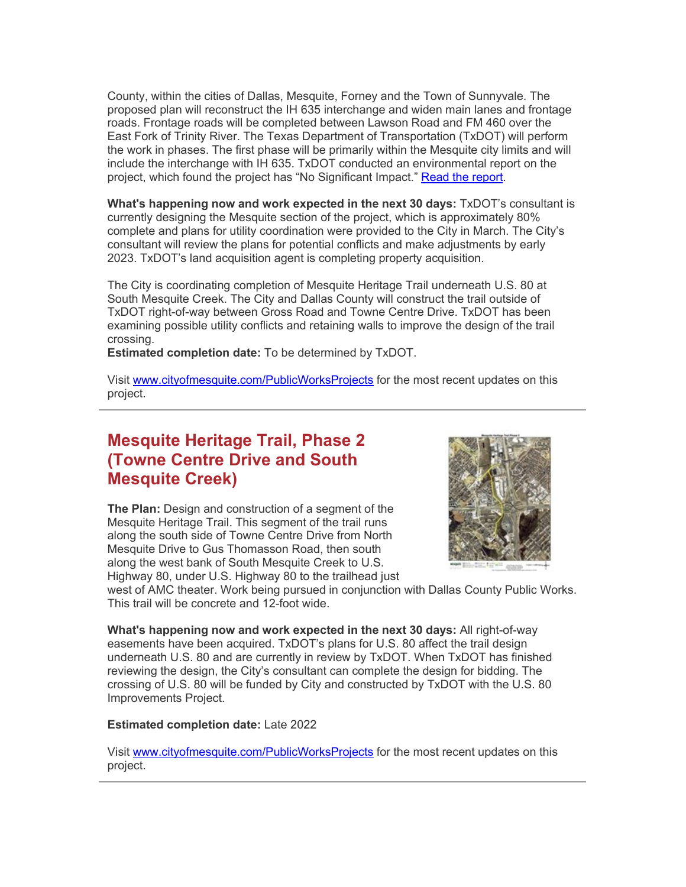County, within the cities of Dallas, Mesquite, Forney and the Town of Sunnyvale. The proposed plan will reconstruct the IH 635 interchange and widen main lanes and frontage roads. Frontage roads will be completed between Lawson Road and FM 460 over the East Fork of Trinity River. The Texas Department of Transportation (TxDOT) will perform the work in phases. The first phase will be primarily within the Mesquite city limits and will include the interchange with IH 635. TxDOT conducted an environmental report on the project, which found the project has "No Significant Impact." [Read the report.](https://gcc02.safelinks.protection.outlook.com/?url=http%3A%2F%2Fwww.keepitmovingdallas.com%2Fpublic-hearings%2F2020%2Fnotice-finding-of-no-significant-impact-available-public-review-us-80-from-ih-3&data=04%7C01%7Cjbenavides%40cityofmesquite.com%7Ce90255293eef4180ff0b08d9bf33a950%7C569b24ee3c1843c889d404993c7c22b6%7C1%7C1%7C637751050877079179%7CUnknown%7CTWFpbGZsb3d8eyJWIjoiMC4wLjAwMDAiLCJQIjoiV2luMzIiLCJBTiI6Ik1haWwiLCJXVCI6Mn0%3D%7C3000&sdata=KqghF8y3%2BcMRUF3dmgce3Z5QETccMs77FPwAMBB5cjo%3D&reserved=0)

**What's happening now and work expected in the next 30 days:** TxDOT's consultant is currently designing the Mesquite section of the project, which is approximately 80% complete and plans for utility coordination were provided to the City in March. The City's consultant will review the plans for potential conflicts and make adjustments by early 2023. TxDOT's land acquisition agent is completing property acquisition.

The City is coordinating completion of Mesquite Heritage Trail underneath U.S. 80 at South Mesquite Creek. The City and Dallas County will construct the trail outside of TxDOT right-of-way between Gross Road and Towne Centre Drive. TxDOT has been examining possible utility conflicts and retaining walls to improve the design of the trail crossing.

**Estimated completion date:** To be determined by TxDOT.

Visit [www.cityofmesquite.com/PublicWorksProjects](http://www.cityofmesquite.com/PublicWorksProjects) for the most recent updates on this project.

### **Mesquite Heritage Trail, Phase 2 (Towne Centre Drive and South Mesquite Creek)**

**The Plan:** Design and construction of a segment of the Mesquite Heritage Trail. This segment of the trail runs along the south side of Towne Centre Drive from North Mesquite Drive to Gus Thomasson Road, then south along the west bank of South Mesquite Creek to U.S. Highway 80, under U.S. Highway 80 to the trailhead just



west of AMC theater. Work being pursued in conjunction with Dallas County Public Works. This trail will be concrete and 12-foot wide.

**What's happening now and work expected in the next 30 days:** All right-of-way easements have been acquired. TxDOT's plans for U.S. 80 affect the trail design underneath U.S. 80 and are currently in review by TxDOT. When TxDOT has finished reviewing the design, the City's consultant can complete the design for bidding. The crossing of U.S. 80 will be funded by City and constructed by TxDOT with the U.S. 80 Improvements Project.

#### **Estimated completion date:** Late 2022

Visit [www.cityofmesquite.com/PublicWorksProjects](http://www.cityofmesquite.com/PublicWorksProjects) for the most recent updates on this project.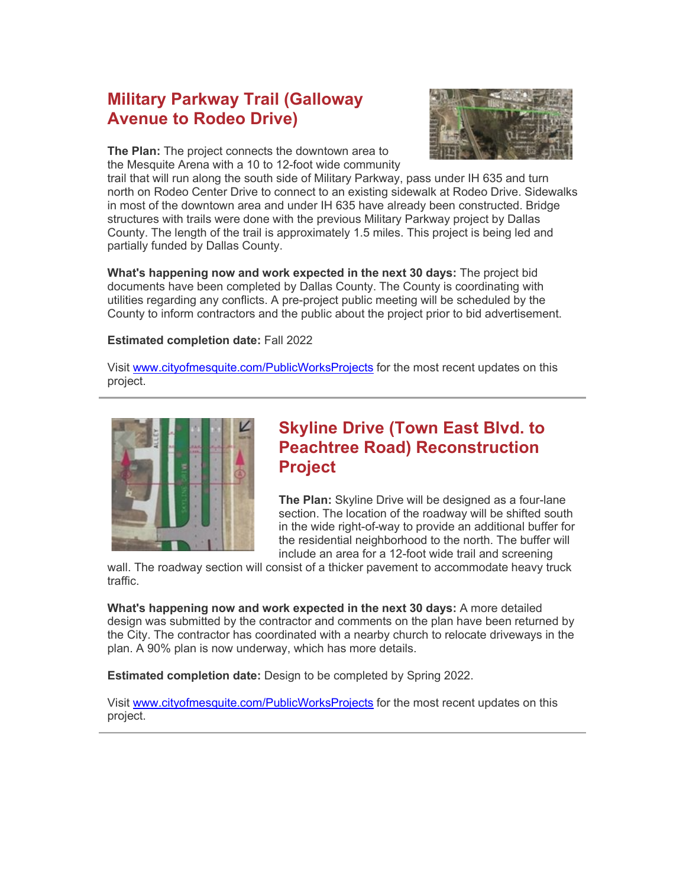# **Military Parkway Trail (Galloway Avenue to Rodeo Drive)**



**The Plan:** The project connects the downtown area to the Mesquite Arena with a 10 to 12-foot wide community

trail that will run along the south side of Military Parkway, pass under IH 635 and turn north on Rodeo Center Drive to connect to an existing sidewalk at Rodeo Drive. Sidewalks in most of the downtown area and under IH 635 have already been constructed. Bridge structures with trails were done with the previous Military Parkway project by Dallas County. The length of the trail is approximately 1.5 miles. This project is being led and partially funded by Dallas County.

**What's happening now and work expected in the next 30 days:** The project bid documents have been completed by Dallas County. The County is coordinating with utilities regarding any conflicts. A pre-project public meeting will be scheduled by the County to inform contractors and the public about the project prior to bid advertisement.

#### **Estimated completion date:** Fall 2022

Visit [www.cityofmesquite.com/PublicWorksProjects](http://www.cityofmesquite.com/PublicWorksProjects) for the most recent updates on this project.



### **Skyline Drive (Town East Blvd. to Peachtree Road) Reconstruction Project**

**The Plan:** Skyline Drive will be designed as a four-lane section. The location of the roadway will be shifted south in the wide right-of-way to provide an additional buffer for the residential neighborhood to the north. The buffer will include an area for a 12-foot wide trail and screening

wall. The roadway section will consist of a thicker pavement to accommodate heavy truck traffic.

**What's happening now and work expected in the next 30 days:** A more detailed design was submitted by the contractor and comments on the plan have been returned by the City. The contractor has coordinated with a nearby church to relocate driveways in the plan. A 90% plan is now underway, which has more details.

**Estimated completion date:** Design to be completed by Spring 2022.

Visit [www.cityofmesquite.com/PublicWorksProjects](http://www.cityofmesquite.com/PublicWorksProjects) for the most recent updates on this project.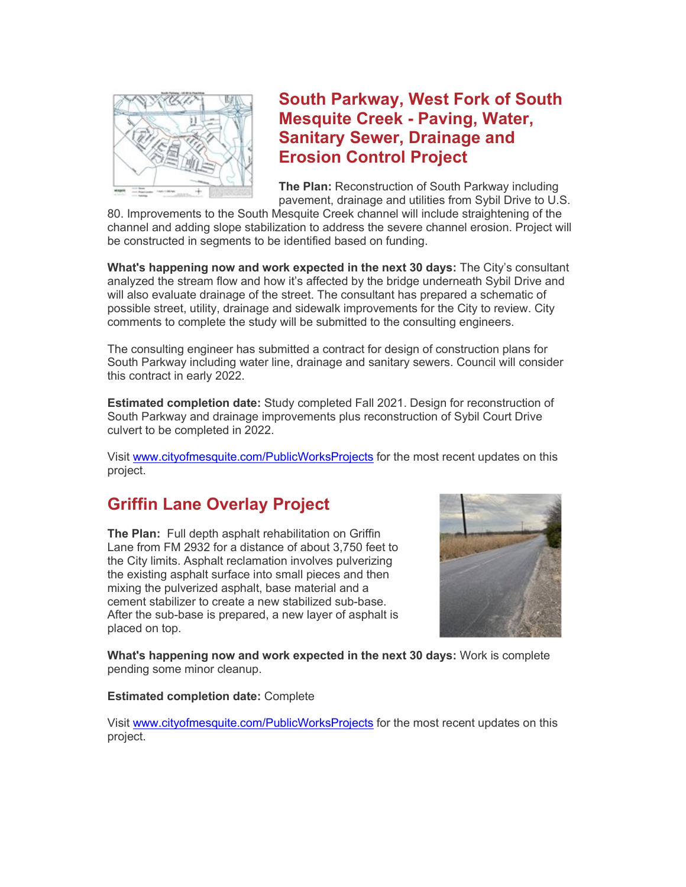

**South Parkway, West Fork of South Mesquite Creek - Paving, Water, Sanitary Sewer, Drainage and Erosion Control Project**

**The Plan:** Reconstruction of South Parkway including pavement, drainage and utilities from Sybil Drive to U.S.

80. Improvements to the South Mesquite Creek channel will include straightening of the channel and adding slope stabilization to address the severe channel erosion. Project will be constructed in segments to be identified based on funding.

**What's happening now and work expected in the next 30 days:** The City's consultant analyzed the stream flow and how it's affected by the bridge underneath Sybil Drive and will also evaluate drainage of the street. The consultant has prepared a schematic of possible street, utility, drainage and sidewalk improvements for the City to review. City comments to complete the study will be submitted to the consulting engineers.

The consulting engineer has submitted a contract for design of construction plans for South Parkway including water line, drainage and sanitary sewers. Council will consider this contract in early 2022.

**Estimated completion date:** Study completed Fall 2021. Design for reconstruction of South Parkway and drainage improvements plus reconstruction of Sybil Court Drive culvert to be completed in 2022.

Visit [www.cityofmesquite.com/PublicWorksProjects](http://www.cityofmesquite.com/PublicWorksProjects) for the most recent updates on this project.

# **Griffin Lane Overlay Project**

**The Plan:** Full depth asphalt rehabilitation on Griffin Lane from FM 2932 for a distance of about 3,750 feet to the City limits. Asphalt reclamation involves pulverizing the existing asphalt surface into small pieces and then mixing the pulverized asphalt, base material and a cement stabilizer to create a new stabilized sub-base. After the sub-base is prepared, a new layer of asphalt is placed on top.



**What's happening now and work expected in the next 30 days:** Work is complete pending some minor cleanup.

#### **Estimated completion date:** Complete

Visit [www.cityofmesquite.com/PublicWorksProjects](http://www.cityofmesquite.com/PublicWorksProjects) for the most recent updates on this project.